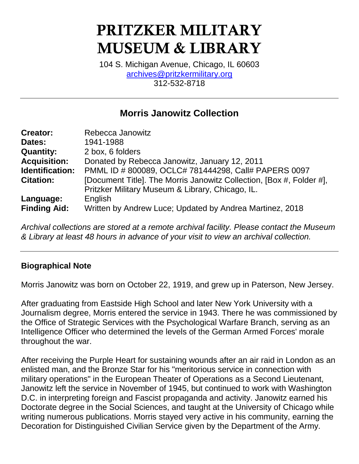# PRITZKER MILITARY MUSEUM & LIBRARY

104 S. Michigan Avenue, Chicago, IL 60603 [archives@pritzkermilitary.org](mailto:archives@pritzkermilitary.org) 312-532-8718

## **Morris Janowitz Collection**

| <b>Creator:</b>     | Rebecca Janowitz                                                     |
|---------------------|----------------------------------------------------------------------|
| Dates:              | 1941-1988                                                            |
| <b>Quantity:</b>    | 2 box, 6 folders                                                     |
| <b>Acquisition:</b> | Donated by Rebecca Janowitz, January 12, 2011                        |
| Identification:     | PMML ID # 800089, OCLC# 781444298, Call# PAPERS 0097                 |
| <b>Citation:</b>    | [Document Title]. The Morris Janowitz Collection, [Box #, Folder #], |
|                     | Pritzker Military Museum & Library, Chicago, IL.                     |
| Language:           | English                                                              |
| <b>Finding Aid:</b> | Written by Andrew Luce; Updated by Andrea Martinez, 2018             |

*Archival collections are stored at a remote archival facility. Please contact the Museum & Library at least 48 hours in advance of your visit to view an archival collection.*

#### **Biographical Note**

Morris Janowitz was born on October 22, 1919, and grew up in Paterson, New Jersey.

After graduating from Eastside High School and later New York University with a Journalism degree, Morris entered the service in 1943. There he was commissioned by the Office of Strategic Services with the Psychological Warfare Branch, serving as an Intelligence Officer who determined the levels of the German Armed Forces' morale throughout the war.

After receiving the Purple Heart for sustaining wounds after an air raid in London as an enlisted man, and the Bronze Star for his "meritorious service in connection with military operations" in the European Theater of Operations as a Second Lieutenant, Janowitz left the service in November of 1945, but continued to work with Washington D.C. in interpreting foreign and Fascist propaganda and activity. Janowitz earned his Doctorate degree in the Social Sciences, and taught at the University of Chicago while writing numerous publications. Morris stayed very active in his community, earning the Decoration for Distinguished Civilian Service given by the Department of the Army.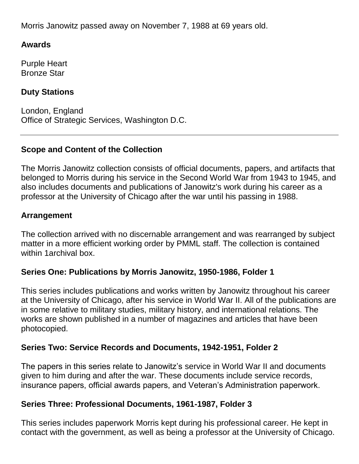Morris Janowitz passed away on November 7, 1988 at 69 years old.

#### **Awards**

Purple Heart Bronze Star

#### **Duty Stations**

London, England Office of Strategic Services, Washington D.C.

#### **Scope and Content of the Collection**

The Morris Janowitz collection consists of official documents, papers, and artifacts that belonged to Morris during his service in the Second World War from 1943 to 1945, and also includes documents and publications of Janowitz's work during his career as a professor at the University of Chicago after the war until his passing in 1988.

#### **Arrangement**

The collection arrived with no discernable arrangement and was rearranged by subject matter in a more efficient working order by PMML staff. The collection is contained within 1archival box.

#### **Series One: Publications by Morris Janowitz, 1950-1986, Folder 1**

This series includes publications and works written by Janowitz throughout his career at the University of Chicago, after his service in World War II. All of the publications are in some relative to military studies, military history, and international relations. The works are shown published in a number of magazines and articles that have been photocopied.

#### **Series Two: Service Records and Documents, 1942-1951, Folder 2**

The papers in this series relate to Janowitz's service in World War II and documents given to him during and after the war. These documents include service records, insurance papers, official awards papers, and Veteran's Administration paperwork.

#### **Series Three: Professional Documents, 1961-1987, Folder 3**

This series includes paperwork Morris kept during his professional career. He kept in contact with the government, as well as being a professor at the University of Chicago.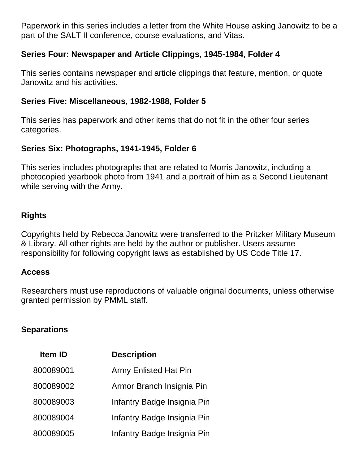Paperwork in this series includes a letter from the White House asking Janowitz to be a part of the SALT II conference, course evaluations, and Vitas.

#### **Series Four: Newspaper and Article Clippings, 1945-1984, Folder 4**

This series contains newspaper and article clippings that feature, mention, or quote Janowitz and his activities.

#### **Series Five: Miscellaneous, 1982-1988, Folder 5**

This series has paperwork and other items that do not fit in the other four series categories.

#### **Series Six: Photographs, 1941-1945, Folder 6**

This series includes photographs that are related to Morris Janowitz, including a photocopied yearbook photo from 1941 and a portrait of him as a Second Lieutenant while serving with the Army.

#### **Rights**

Copyrights held by Rebecca Janowitz were transferred to the Pritzker Military Museum & Library. All other rights are held by the author or publisher. Users assume responsibility for following copyright laws as established by US Code Title 17.

#### **Access**

Researchers must use reproductions of valuable original documents, unless otherwise granted permission by PMML staff.

#### **Separations**

| <b>Item ID</b> | <b>Description</b>           |
|----------------|------------------------------|
| 800089001      | <b>Army Enlisted Hat Pin</b> |
| 800089002      | Armor Branch Insignia Pin    |
| 800089003      | Infantry Badge Insignia Pin  |
| 800089004      | Infantry Badge Insignia Pin  |
| 800089005      | Infantry Badge Insignia Pin  |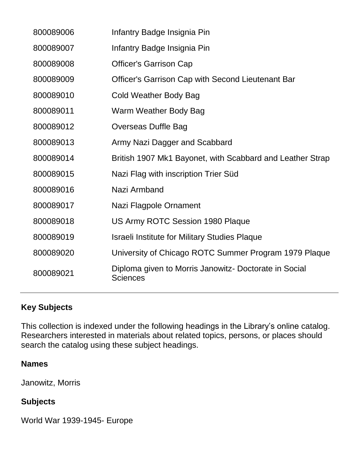| 800089006 | Infantry Badge Insignia Pin                                              |
|-----------|--------------------------------------------------------------------------|
| 800089007 | Infantry Badge Insignia Pin                                              |
| 800089008 | <b>Officer's Garrison Cap</b>                                            |
| 800089009 | Officer's Garrison Cap with Second Lieutenant Bar                        |
| 800089010 | <b>Cold Weather Body Bag</b>                                             |
| 800089011 | Warm Weather Body Bag                                                    |
| 800089012 | Overseas Duffle Bag                                                      |
| 800089013 | Army Nazi Dagger and Scabbard                                            |
| 800089014 | British 1907 Mk1 Bayonet, with Scabbard and Leather Strap                |
| 800089015 | Nazi Flag with inscription Trier Süd                                     |
| 800089016 | Nazi Armband                                                             |
| 800089017 | Nazi Flagpole Ornament                                                   |
| 800089018 | US Army ROTC Session 1980 Plaque                                         |
| 800089019 | <b>Israeli Institute for Military Studies Plaque</b>                     |
| 800089020 | University of Chicago ROTC Summer Program 1979 Plaque                    |
| 800089021 | Diploma given to Morris Janowitz- Doctorate in Social<br><b>Sciences</b> |
|           |                                                                          |

## **Key Subjects**

This collection is indexed under the following headings in the Library's online catalog. Researchers interested in materials about related topics, persons, or places should search the catalog using these subject headings.

#### **Names**

Janowitz, Morris

### **Subjects**

World War 1939-1945- Europe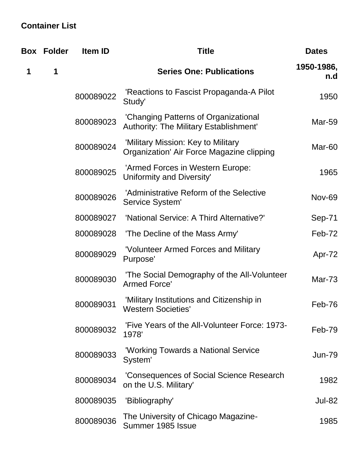## **Container List**

|   | <b>Box Folder</b> | Item ID   | <b>Title</b>                                                                          | <b>Dates</b>      |
|---|-------------------|-----------|---------------------------------------------------------------------------------------|-------------------|
| 1 | 1                 |           | <b>Series One: Publications</b>                                                       | 1950-1986,<br>n.d |
|   |                   | 800089022 | 'Reactions to Fascist Propaganda-A Pilot<br>Study'                                    | 1950              |
|   |                   | 800089023 | 'Changing Patterns of Organizational<br><b>Authority: The Military Establishment'</b> | <b>Mar-59</b>     |
|   |                   | 800089024 | 'Military Mission: Key to Military<br>Organization' Air Force Magazine clipping       | Mar-60            |
|   |                   | 800089025 | 'Armed Forces in Western Europe:<br>Uniformity and Diversity'                         | 1965              |
|   |                   | 800089026 | 'Administrative Reform of the Selective<br>Service System'                            | <b>Nov-69</b>     |
|   |                   | 800089027 | 'National Service: A Third Alternative?'                                              | Sep-71            |
|   |                   | 800089028 | 'The Decline of the Mass Army'                                                        | Feb-72            |
|   |                   | 800089029 | 'Volunteer Armed Forces and Military<br>Purpose'                                      | Apr-72            |
|   |                   | 800089030 | 'The Social Demography of the All-Volunteer<br>Armed Force'                           | Mar- $73$         |
|   |                   | 800089031 | 'Military Institutions and Citizenship in<br><b>Western Societies'</b>                | Feb-76            |
|   |                   | 800089032 | 'Five Years of the All-Volunteer Force: 1973-<br>1978'                                | Feb-79            |
|   |                   | 800089033 | 'Working Towards a National Service<br>System'                                        | <b>Jun-79</b>     |
|   |                   | 800089034 | 'Consequences of Social Science Research<br>on the U.S. Military'                     | 1982              |
|   |                   | 800089035 | 'Bibliography'                                                                        | <b>Jul-82</b>     |
|   |                   | 800089036 | The University of Chicago Magazine-<br>Summer 1985 Issue                              | 1985              |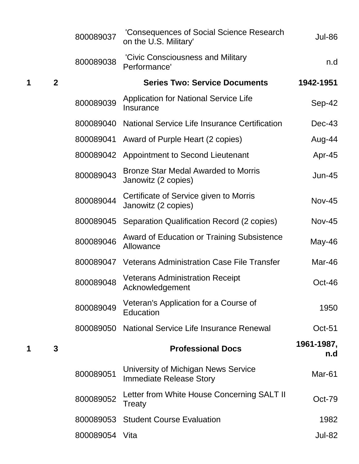|   |                | 800089037      | 'Consequences of Social Science Research<br>on the U.S. Military'     | <b>Jul-86</b>     |
|---|----------------|----------------|-----------------------------------------------------------------------|-------------------|
|   |                | 800089038      | 'Civic Consciousness and Military<br>Performance'                     | n.d               |
| 1 | $\overline{2}$ |                | <b>Series Two: Service Documents</b>                                  | 1942-1951         |
|   |                | 800089039      | <b>Application for National Service Life</b><br>Insurance             | Sep-42            |
|   |                | 800089040      | National Service Life Insurance Certification                         | $Dec-43$          |
|   |                | 800089041      | Award of Purple Heart (2 copies)                                      | Aug-44            |
|   |                | 800089042      | Appointment to Second Lieutenant                                      | Apr-45            |
|   |                | 800089043      | <b>Bronze Star Medal Awarded to Morris</b><br>Janowitz (2 copies)     | $Jun-45$          |
|   |                | 800089044      | Certificate of Service given to Morris<br>Janowitz (2 copies)         | <b>Nov-45</b>     |
|   |                | 800089045      | Separation Qualification Record (2 copies)                            | $Nov-45$          |
|   |                | 800089046      | <b>Award of Education or Training Subsistence</b><br>Allowance        | May-46            |
|   |                | 800089047      | <b>Veterans Administration Case File Transfer</b>                     | Mar-46            |
|   |                | 800089048      | <b>Veterans Administration Receipt</b><br>Acknowledgement             | $Oct-46$          |
|   |                | 800089049      | Veteran's Application for a Course of<br>Education                    | 1950              |
|   |                | 800089050      | National Service Life Insurance Renewal                               | $Oct-51$          |
| 1 | 3              |                | <b>Professional Docs</b>                                              | 1961-1987,<br>n.d |
|   |                | 800089051      | University of Michigan News Service<br><b>Immediate Release Story</b> | Mar-61            |
|   |                | 800089052      | Letter from White House Concerning SALT II<br>Treaty                  | $Oct-79$          |
|   |                | 800089053      | <b>Student Course Evaluation</b>                                      | 1982              |
|   |                | 800089054 Vita |                                                                       | <b>Jul-82</b>     |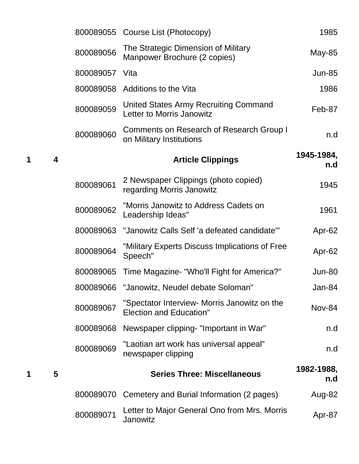| 1985              | 800089055 Course List (Photocopy)                                              |           |   |   |
|-------------------|--------------------------------------------------------------------------------|-----------|---|---|
| May-85            | The Strategic Dimension of Military<br>Manpower Brochure (2 copies)            | 800089056 |   |   |
| <b>Jun-85</b>     | Vita                                                                           | 800089057 |   |   |
| 1986              | Additions to the Vita                                                          | 800089058 |   |   |
| Feb-87            | United States Army Recruiting Command<br>Letter to Morris Janowitz             | 800089059 |   |   |
| n.d               | <b>Comments on Research of Research Group I</b><br>on Military Institutions    | 800089060 |   |   |
| 1945-1984,<br>n.d | <b>Article Clippings</b>                                                       |           | 4 | 1 |
| 1945              | 2 Newspaper Clippings (photo copied)<br>regarding Morris Janowitz              | 800089061 |   |   |
| 1961              | "Morris Janowitz to Address Cadets on<br>Leadership Ideas"                     | 800089062 |   |   |
| Apr-62            | "Janowitz Calls Self 'a defeated candidate'"                                   | 800089063 |   |   |
| Apr-62            | "Military Experts Discuss Implications of Free<br>Speech"                      | 800089064 |   |   |
| Jun-80            | Time Magazine- "Who'll Fight for America?"                                     | 800089065 |   |   |
| Jan-84            | 800089066 "Janowitz, Neudel debate Soloman"                                    |           |   |   |
| <b>Nov-84</b>     | "Spectator Interview- Morris Janowitz on the<br><b>Election and Education"</b> | 800089067 |   |   |
| n.d               | Newspaper clipping- "Important in War"                                         | 800089068 |   |   |
| n.d               | "Laotian art work has universal appeal"<br>newspaper clipping                  | 800089069 |   |   |
| 1982-1988,<br>n.d | <b>Series Three: Miscellaneous</b>                                             |           | 5 | 1 |
| Aug-82            | Cemetery and Burial Information (2 pages)                                      | 800089070 |   |   |
| Apr-87            | Letter to Major General Ono from Mrs. Morris<br>Janowitz                       | 800089071 |   |   |